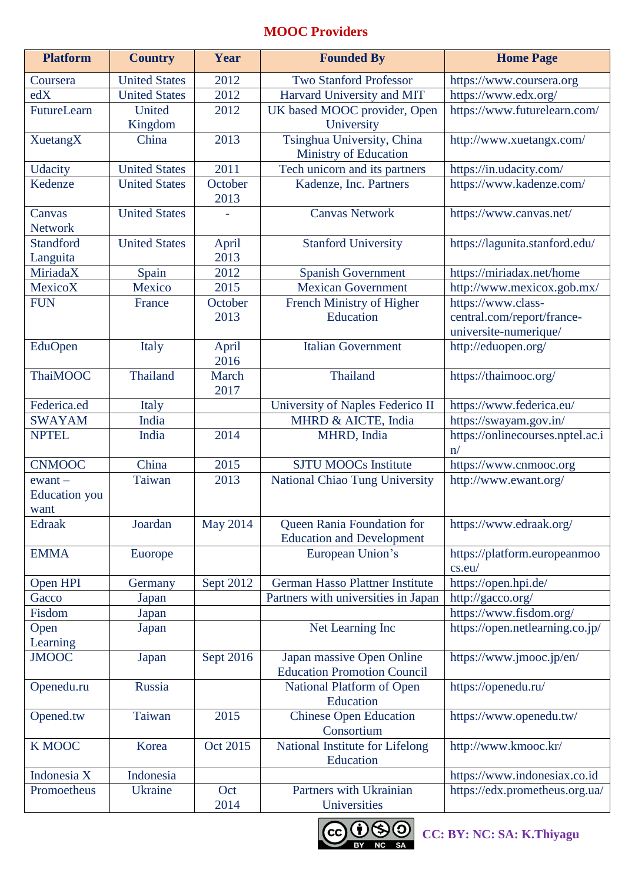# **MOOC Providers**

| <b>Platform</b>                           | <b>Country</b>       | Year            | <b>Founded By</b>                                               | <b>Home Page</b>                                                          |
|-------------------------------------------|----------------------|-----------------|-----------------------------------------------------------------|---------------------------------------------------------------------------|
| Coursera                                  | <b>United States</b> | 2012            | <b>Two Stanford Professor</b>                                   | https://www.coursera.org                                                  |
| edX                                       | <b>United States</b> | 2012            | Harvard University and MIT                                      | https://www.edx.org/                                                      |
| FutureLearn                               | United<br>Kingdom    | 2012            | UK based MOOC provider, Open<br>University                      | https://www.futurelearn.com/                                              |
| <b>XuetangX</b>                           | China                | 2013            | Tsinghua University, China<br>Ministry of Education             | http://www.xuetangx.com/                                                  |
| <b>Udacity</b>                            | <b>United States</b> | 2011            | Tech unicorn and its partners                                   | https://in.udacity.com/                                                   |
| Kedenze                                   | <b>United States</b> | October<br>2013 | Kadenze, Inc. Partners                                          | https://www.kadenze.com/                                                  |
| Canvas<br><b>Network</b>                  | <b>United States</b> |                 | <b>Canvas Network</b>                                           | https://www.canvas.net/                                                   |
| <b>Standford</b><br>Languita              | <b>United States</b> | April<br>2013   | <b>Stanford University</b>                                      | https://lagunita.stanford.edu/                                            |
| MiriadaX                                  | Spain                | 2012            | <b>Spanish Government</b>                                       | https://miriadax.net/home                                                 |
| MexicoX                                   | Mexico               | 2015            | <b>Mexican Government</b>                                       | http://www.mexicox.gob.mx/                                                |
| <b>FUN</b>                                | France               | October<br>2013 | French Ministry of Higher<br>Education                          | https://www.class-<br>central.com/report/france-<br>universite-numerique/ |
| EduOpen                                   | Italy                | April<br>2016   | <b>Italian Government</b>                                       | http://eduopen.org/                                                       |
| <b>ThaiMOOC</b>                           | Thailand             | March<br>2017   | Thailand                                                        | https://thaimooc.org/                                                     |
| Federica.ed                               | Italy                |                 | University of Naples Federico II                                | https://www.federica.eu/                                                  |
| <b>SWAYAM</b>                             | India                |                 | MHRD & AICTE, India                                             | https://swayam.gov.in/                                                    |
| <b>NPTEL</b>                              | India                | 2014            | MHRD, India                                                     | https://onlinecourses.nptel.ac.i<br>n/                                    |
| <b>CNMOOC</b>                             | China                | 2015            | <b>SJTU MOOCs Institute</b>                                     | https://www.cnmooc.org                                                    |
| $ewant -$<br><b>Education</b> you<br>want | Taiwan               | 2013            | National Chiao Tung University                                  | http://www.ewant.org/                                                     |
| <b>Edraak</b>                             | Joardan              | <b>May 2014</b> | Queen Rania Foundation for<br><b>Education and Development</b>  | https://www.edraak.org/                                                   |
| <b>EMMA</b>                               | Euorope              |                 | European Union's                                                | https://platform.europeanmoo<br>cs.eu/                                    |
| Open HPI                                  | Germany              | Sept 2012       | German Hasso Plattner Institute                                 | https://open.hpi.de/                                                      |
| Gacco                                     | Japan                |                 | Partners with universities in Japan                             | http://gacco.org/                                                         |
| Fisdom                                    | Japan                |                 |                                                                 | https://www.fisdom.org/                                                   |
| Open<br>Learning                          | Japan                |                 | Net Learning Inc                                                | https://open.netlearning.co.jp/                                           |
| <b>JMOOC</b>                              | Japan                | Sept 2016       | Japan massive Open Online<br><b>Education Promotion Council</b> | https://www.jmooc.jp/en/                                                  |
| Openedu.ru                                | Russia               |                 | National Platform of Open<br>Education                          | https://openedu.ru/                                                       |
| Opened.tw                                 | Taiwan               | 2015            | <b>Chinese Open Education</b><br>Consortium                     | https://www.openedu.tw/                                                   |
| <b>K MOOC</b>                             | Korea                | Oct 2015        | National Institute for Lifelong<br>Education                    | http://www.kmooc.kr/                                                      |
| Indonesia X                               | Indonesia            |                 |                                                                 | https://www.indonesiax.co.id                                              |
| Promoetheus                               | <b>Ukraine</b>       | Oct<br>2014     | Partners with Ukrainian<br>Universities                         | https://edx.prometheus.org.ua/                                            |



**CC: BY: NC: SA: K.Thiyagu**